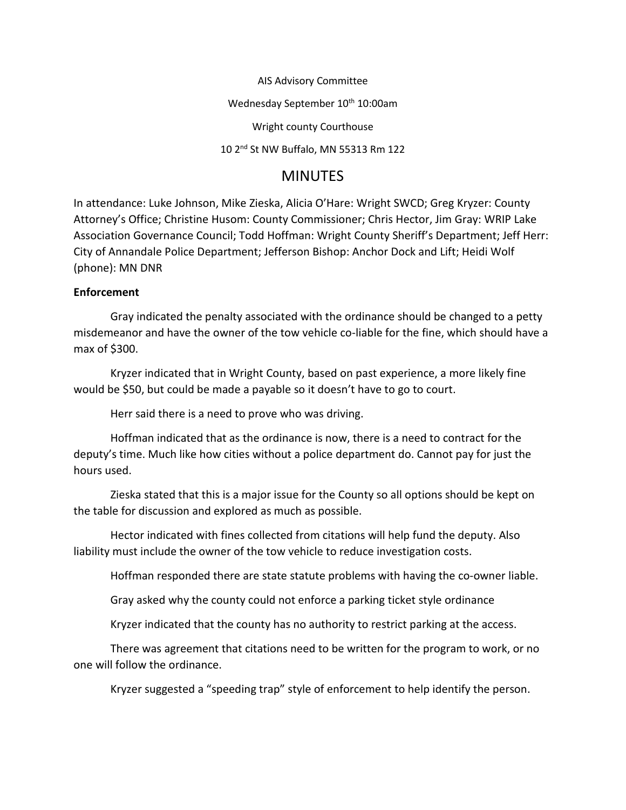AIS Advisory Committee Wednesday September 10<sup>th</sup> 10:00am Wright county Courthouse 10 2nd St NW Buffalo, MN 55313 Rm 122

## **MINUTES**

In attendance: Luke Johnson, Mike Zieska, Alicia O'Hare: Wright SWCD; Greg Kryzer: County Attorney's Office; Christine Husom: County Commissioner; Chris Hector, Jim Gray: WRIP Lake Association Governance Council; Todd Hoffman: Wright County Sheriff's Department; Jeff Herr: City of Annandale Police Department; Jefferson Bishop: Anchor Dock and Lift; Heidi Wolf (phone): MN DNR

## **Enforcement**

Gray indicated the penalty associated with the ordinance should be changed to a petty misdemeanor and have the owner of the tow vehicle co-liable for the fine, which should have a max of \$300.

Kryzer indicated that in Wright County, based on past experience, a more likely fine would be \$50, but could be made a payable so it doesn't have to go to court.

Herr said there is a need to prove who was driving.

Hoffman indicated that as the ordinance is now, there is a need to contract for the deputy's time. Much like how cities without a police department do. Cannot pay for just the hours used.

Zieska stated that this is a major issue for the County so all options should be kept on the table for discussion and explored as much as possible.

Hector indicated with fines collected from citations will help fund the deputy. Also liability must include the owner of the tow vehicle to reduce investigation costs.

Hoffman responded there are state statute problems with having the co-owner liable.

Gray asked why the county could not enforce a parking ticket style ordinance

Kryzer indicated that the county has no authority to restrict parking at the access.

There was agreement that citations need to be written for the program to work, or no one will follow the ordinance.

Kryzer suggested a "speeding trap" style of enforcement to help identify the person.